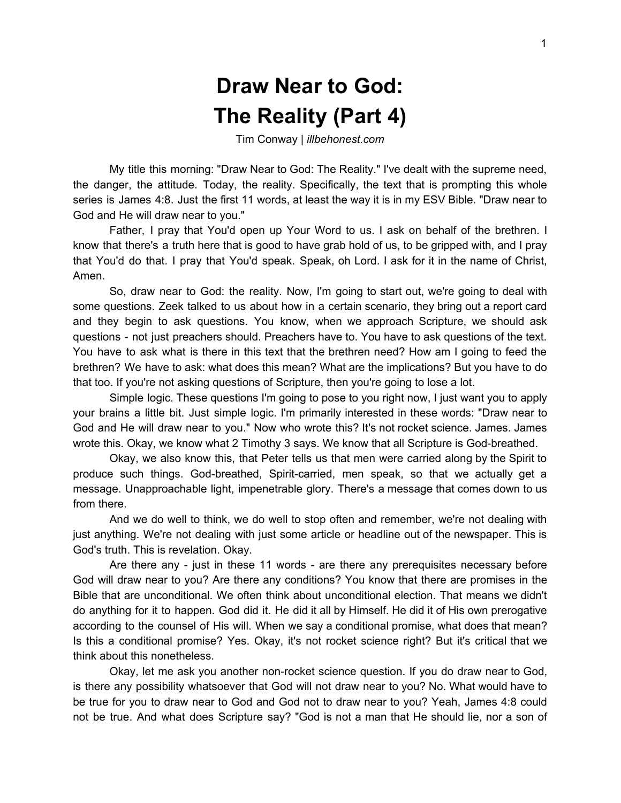## **Draw Near to God: The Reality (Part 4)**

Tim Conway | *illbehonest.com*

My title this morning: "Draw Near to God: The Reality." I've dealt with the supreme need, the danger, the attitude. Today, the reality. Specifically, the text that is prompting this whole series is James 4:8. Just the first 11 words, at least the way it is in my ESV Bible. "Draw near to God and He will draw near to you."

Father, I pray that You'd open up Your Word to us. I ask on behalf of the brethren. I know that there's a truth here that is good to have grab hold of us, to be gripped with, and I pray that You'd do that. I pray that You'd speak. Speak, oh Lord. I ask for it in the name of Christ, Amen.

So, draw near to God: the reality. Now, I'm going to start out, we're going to deal with some questions. Zeek talked to us about how in a certain scenario, they bring out a report card and they begin to ask questions. You know, when we approach Scripture, we should ask questions - not just preachers should. Preachers have to. You have to ask questions of the text. You have to ask what is there in this text that the brethren need? How am I going to feed the brethren? We have to ask: what does this mean? What are the implications? But you have to do that too. If you're not asking questions of Scripture, then you're going to lose a lot.

Simple logic. These questions I'm going to pose to you right now, I just want you to apply your brains a little bit. Just simple logic. I'm primarily interested in these words: "Draw near to God and He will draw near to you." Now who wrote this? It's not rocket science. James. James wrote this. Okay, we know what 2 Timothy 3 says. We know that all Scripture is God-breathed.

Okay, we also know this, that Peter tells us that men were carried along by the Spirit to produce such things. God-breathed, Spirit-carried, men speak, so that we actually get a message. Unapproachable light, impenetrable glory. There's a message that comes down to us from there.

And we do well to think, we do well to stop often and remember, we're not dealing with just anything. We're not dealing with just some article or headline out of the newspaper. This is God's truth. This is revelation. Okay.

Are there any - just in these 11 words - are there any prerequisites necessary before God will draw near to you? Are there any conditions? You know that there are promises in the Bible that are unconditional. We often think about unconditional election. That means we didn't do anything for it to happen. God did it. He did it all by Himself. He did it of His own prerogative according to the counsel of His will. When we say a conditional promise, what does that mean? Is this a conditional promise? Yes. Okay, it's not rocket science right? But it's critical that we think about this nonetheless.

Okay, let me ask you another non-rocket science question. If you do draw near to God, is there any possibility whatsoever that God will not draw near to you? No. What would have to be true for you to draw near to God and God not to draw near to you? Yeah, James 4:8 could not be true. And what does Scripture say? "God is not a man that He should lie, nor a son of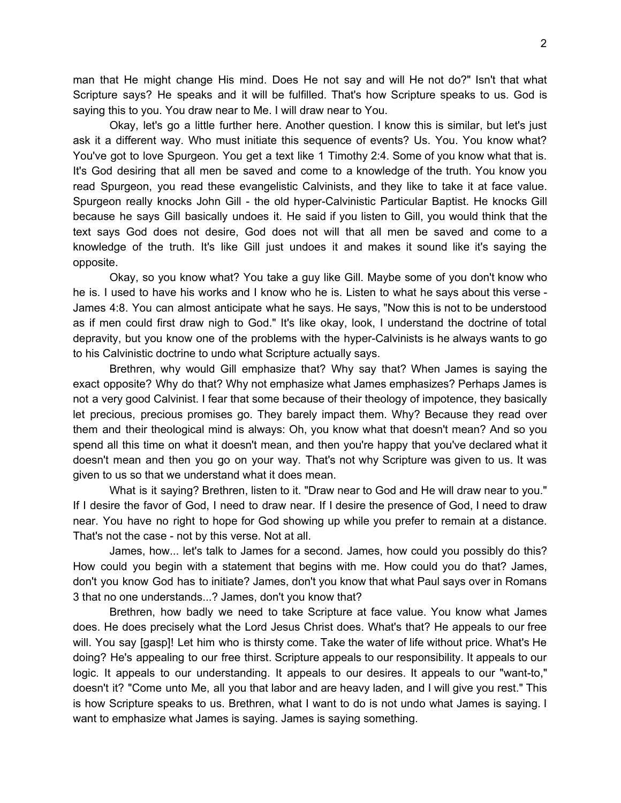man that He might change His mind. Does He not say and will He not do?" Isn't that what Scripture says? He speaks and it will be fulfilled. That's how Scripture speaks to us. God is saying this to you. You draw near to Me. I will draw near to You.

Okay, let's go a little further here. Another question. I know this is similar, but let's just ask it a different way. Who must initiate this sequence of events? Us. You. You know what? You've got to love Spurgeon. You get a text like 1 Timothy 2:4. Some of you know what that is. It's God desiring that all men be saved and come to a knowledge of the truth. You know you read Spurgeon, you read these evangelistic Calvinists, and they like to take it at face value. Spurgeon really knocks John Gill - the old hyper-Calvinistic Particular Baptist. He knocks Gill because he says Gill basically undoes it. He said if you listen to Gill, you would think that the text says God does not desire, God does not will that all men be saved and come to a knowledge of the truth. It's like Gill just undoes it and makes it sound like it's saying the opposite.

Okay, so you know what? You take a guy like Gill. Maybe some of you don't know who he is. I used to have his works and I know who he is. Listen to what he says about this verse - James 4:8. You can almost anticipate what he says. He says, "Now this is not to be understood as if men could first draw nigh to God." It's like okay, look, I understand the doctrine of total depravity, but you know one of the problems with the hyper-Calvinists is he always wants to go to his Calvinistic doctrine to undo what Scripture actually says.

Brethren, why would Gill emphasize that? Why say that? When James is saying the exact opposite? Why do that? Why not emphasize what James emphasizes? Perhaps James is not a very good Calvinist. I fear that some because of their theology of impotence, they basically let precious, precious promises go. They barely impact them. Why? Because they read over them and their theological mind is always: Oh, you know what that doesn't mean? And so you spend all this time on what it doesn't mean, and then you're happy that you've declared what it doesn't mean and then you go on your way. That's not why Scripture was given to us. It was given to us so that we understand what it does mean.

What is it saying? Brethren, listen to it. "Draw near to God and He will draw near to you." If I desire the favor of God, I need to draw near. If I desire the presence of God, I need to draw near. You have no right to hope for God showing up while you prefer to remain at a distance. That's not the case - not by this verse. Not at all.

James, how... let's talk to James for a second. James, how could you possibly do this? How could you begin with a statement that begins with me. How could you do that? James, don't you know God has to initiate? James, don't you know that what Paul says over in Romans 3 that no one understands...? James, don't you know that?

Brethren, how badly we need to take Scripture at face value. You know what James does. He does precisely what the Lord Jesus Christ does. What's that? He appeals to our free will. You say [gasp]! Let him who is thirsty come. Take the water of life without price. What's He doing? He's appealing to our free thirst. Scripture appeals to our responsibility. It appeals to our logic. It appeals to our understanding. It appeals to our desires. It appeals to our "want-to," doesn't it? "Come unto Me, all you that labor and are heavy laden, and I will give you rest." This is how Scripture speaks to us. Brethren, what I want to do is not undo what James is saying. I want to emphasize what James is saying. James is saying something.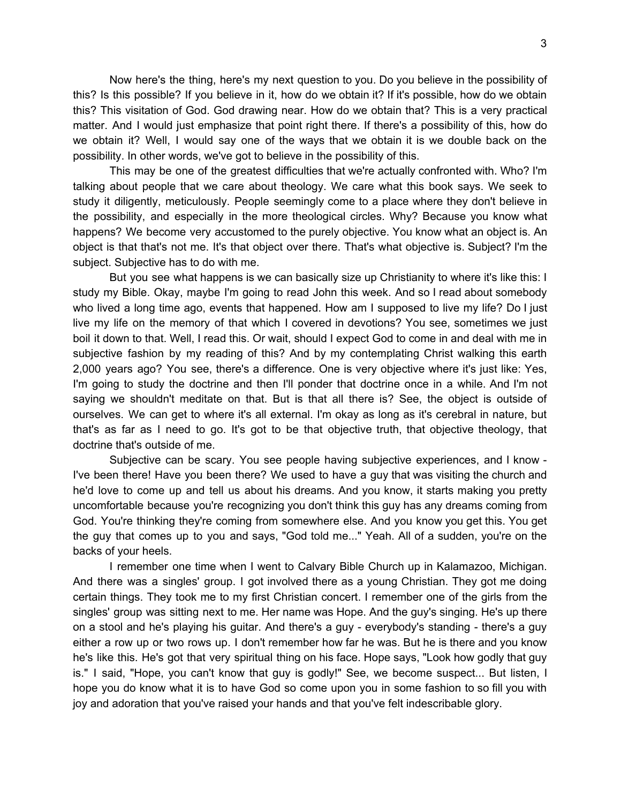Now here's the thing, here's my next question to you. Do you believe in the possibility of this? Is this possible? If you believe in it, how do we obtain it? If it's possible, how do we obtain this? This visitation of God. God drawing near. How do we obtain that? This is a very practical matter. And I would just emphasize that point right there. If there's a possibility of this, how do we obtain it? Well, I would say one of the ways that we obtain it is we double back on the possibility. In other words, we've got to believe in the possibility of this.

This may be one of the greatest difficulties that we're actually confronted with. Who? I'm talking about people that we care about theology. We care what this book says. We seek to study it diligently, meticulously. People seemingly come to a place where they don't believe in the possibility, and especially in the more theological circles. Why? Because you know what happens? We become very accustomed to the purely objective. You know what an object is. An object is that that's not me. It's that object over there. That's what objective is. Subject? I'm the subject. Subjective has to do with me.

But you see what happens is we can basically size up Christianity to where it's like this: I study my Bible. Okay, maybe I'm going to read John this week. And so I read about somebody who lived a long time ago, events that happened. How am I supposed to live my life? Do I just live my life on the memory of that which I covered in devotions? You see, sometimes we just boil it down to that. Well, I read this. Or wait, should I expect God to come in and deal with me in subjective fashion by my reading of this? And by my contemplating Christ walking this earth 2,000 years ago? You see, there's a difference. One is very objective where it's just like: Yes, I'm going to study the doctrine and then I'll ponder that doctrine once in a while. And I'm not saying we shouldn't meditate on that. But is that all there is? See, the object is outside of ourselves. We can get to where it's all external. I'm okay as long as it's cerebral in nature, but that's as far as I need to go. It's got to be that objective truth, that objective theology, that doctrine that's outside of me.

Subjective can be scary. You see people having subjective experiences, and I know - I've been there! Have you been there? We used to have a guy that was visiting the church and he'd love to come up and tell us about his dreams. And you know, it starts making you pretty uncomfortable because you're recognizing you don't think this guy has any dreams coming from God. You're thinking they're coming from somewhere else. And you know you get this. You get the guy that comes up to you and says, "God told me..." Yeah. All of a sudden, you're on the backs of your heels.

I remember one time when I went to Calvary Bible Church up in Kalamazoo, Michigan. And there was a singles' group. I got involved there as a young Christian. They got me doing certain things. They took me to my first Christian concert. I remember one of the girls from the singles' group was sitting next to me. Her name was Hope. And the guy's singing. He's up there on a stool and he's playing his guitar. And there's a guy - everybody's standing - there's a guy either a row up or two rows up. I don't remember how far he was. But he is there and you know he's like this. He's got that very spiritual thing on his face. Hope says, "Look how godly that guy is." I said, "Hope, you can't know that guy is godly!" See, we become suspect... But listen, I hope you do know what it is to have God so come upon you in some fashion to so fill you with joy and adoration that you've raised your hands and that you've felt indescribable glory.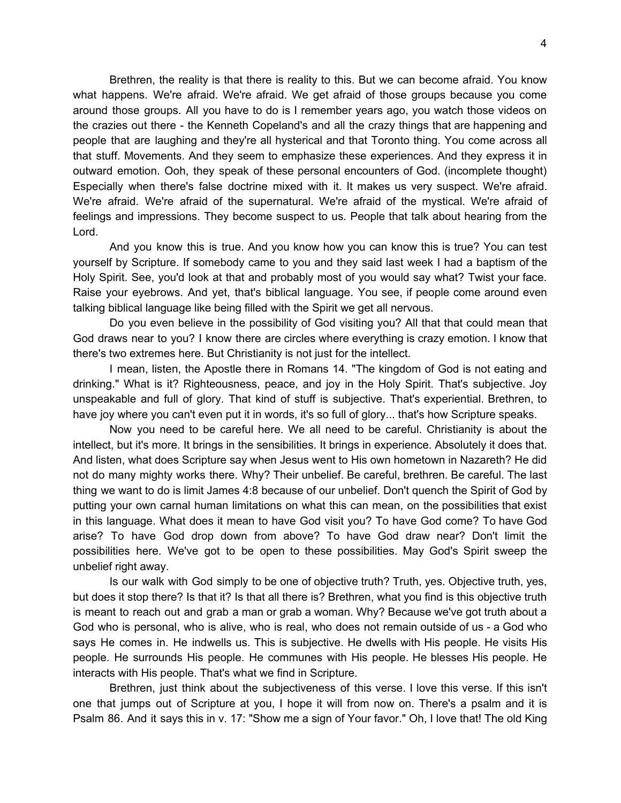Brethren, the reality is that there is reality to this. But we can become afraid. You know what happens. We're afraid. We're afraid. We get afraid of those groups because you come around those groups. All you have to do is I remember years ago, you watch those videos on the crazies out there - the Kenneth Copeland's and all the crazy things that are happening and people that are laughing and they're all hysterical and that Toronto thing. You come across all that stuff. Movements. And they seem to emphasize these experiences. And they express it in outward emotion. Ooh, they speak of these personal encounters of God. (incomplete thought) Especially when there's false doctrine mixed with it. It makes us very suspect. We're afraid. We're afraid. We're afraid of the supernatural. We're afraid of the mystical. We're afraid of feelings and impressions. They become suspect to us. People that talk about hearing from the Lord.

And you know this is true. And you know how you can know this is true? You can test yourself by Scripture. If somebody came to you and they said last week I had a baptism of the Holy Spirit. See, you'd look at that and probably most of you would say what? Twist your face. Raise your eyebrows. And yet, that's biblical language. You see, if people come around even talking biblical language like being filled with the Spirit we get all nervous.

Do you even believe in the possibility of God visiting you? All that that could mean that God draws near to you? I know there are circles where everything is crazy emotion. I know that there's two extremes here. But Christianity is not just for the intellect.

I mean, listen, the Apostle there in Romans 14. "The kingdom of God is not eating and drinking." What is it? Righteousness, peace, and joy in the Holy Spirit. That's subjective. Joy unspeakable and full of glory. That kind of stuff is subjective. That's experiential. Brethren, to have joy where you can't even put it in words, it's so full of glory... that's how Scripture speaks.

Now you need to be careful here. We all need to be careful. Christianity is about the intellect, but it's more. It brings in the sensibilities. It brings in experience. Absolutely it does that. And listen, what does Scripture say when Jesus went to His own hometown in Nazareth? He did not do many mighty works there. Why? Their unbelief. Be careful, brethren. Be careful. The last thing we want to do is limit James 4:8 because of our unbelief. Don't quench the Spirit of God by putting your own carnal human limitations on what this can mean, on the possibilities that exist in this language. What does it mean to have God visit you? To have God come? To have God arise? To have God drop down from above? To have God draw near? Don't limit the possibilities here. We've got to be open to these possibilities. May God's Spirit sweep the unbelief right away.

Is our walk with God simply to be one of objective truth? Truth, yes. Objective truth, yes, but does it stop there? Is that it? Is that all there is? Brethren, what you find is this objective truth is meant to reach out and grab a man or grab a woman. Why? Because we've got truth about a God who is personal, who is alive, who is real, who does not remain outside of us - a God who says He comes in. He indwells us. This is subjective. He dwells with His people. He visits His people. He surrounds His people. He communes with His people. He blesses His people. He interacts with His people. That's what we find in Scripture.

Brethren, just think about the subjectiveness of this verse. I love this verse. If this isn't one that jumps out of Scripture at you, I hope it will from now on. There's a psalm and it is Psalm 86. And it says this in v. 17: "Show me a sign of Your favor." Oh, I love that! The old King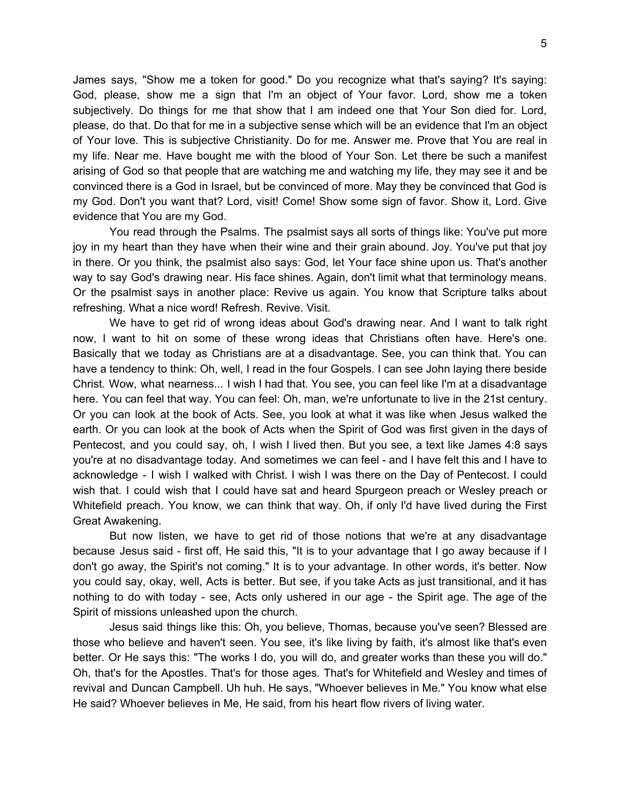James says, "Show me a token for good." Do you recognize what that's saying? It's saying: God, please, show me a sign that I'm an object of Your favor. Lord, show me a token subjectively. Do things for me that show that I am indeed one that Your Son died for. Lord, please, do that. Do that for me in a subjective sense which will be an evidence that I'm an object of Your love. This is subjective Christianity. Do for me. Answer me. Prove that You are real in my life. Near me. Have bought me with the blood of Your Son. Let there be such a manifest arising of God so that people that are watching me and watching my life, they may see it and be convinced there is a God in Israel, but be convinced of more. May they be convinced that God is my God. Don't you want that? Lord, visit! Come! Show some sign of favor. Show it, Lord. Give evidence that You are my God.

You read through the Psalms. The psalmist says all sorts of things like: You've put more joy in my heart than they have when their wine and their grain abound. Joy. You've put that joy in there. Or you think, the psalmist also says: God, let Your face shine upon us. That's another way to say God's drawing near. His face shines. Again, don't limit what that terminology means. Or the psalmist says in another place: Revive us again. You know that Scripture talks about refreshing. What a nice word! Refresh. Revive. Visit.

We have to get rid of wrong ideas about God's drawing near. And I want to talk right now, I want to hit on some of these wrong ideas that Christians often have. Here's one. Basically that we today as Christians are at a disadvantage. See, you can think that. You can have a tendency to think: Oh, well, I read in the four Gospels. I can see John laying there beside Christ. Wow, what nearness... I wish I had that. You see, you can feel like I'm at a disadvantage here. You can feel that way. You can feel: Oh, man, we're unfortunate to live in the 21st century. Or you can look at the book of Acts. See, you look at what it was like when Jesus walked the earth. Or you can look at the book of Acts when the Spirit of God was first given in the days of Pentecost, and you could say, oh, I wish I lived then. But you see, a text like James 4:8 says you're at no disadvantage today. And sometimes we can feel - and I have felt this and I have to acknowledge - I wish I walked with Christ. I wish I was there on the Day of Pentecost. I could wish that. I could wish that I could have sat and heard Spurgeon preach or Wesley preach or Whitefield preach. You know, we can think that way. Oh, if only I'd have lived during the First Great Awakening.

But now listen, we have to get rid of those notions that we're at any disadvantage because Jesus said - first off, He said this, "It is to your advantage that I go away because if I don't go away, the Spirit's not coming." It is to your advantage. In other words, it's better. Now you could say, okay, well, Acts is better. But see, if you take Acts as just transitional, and it has nothing to do with today - see, Acts only ushered in our age - the Spirit age. The age of the Spirit of missions unleashed upon the church.

Jesus said things like this: Oh, you believe, Thomas, because you've seen? Blessed are those who believe and haven't seen. You see, it's like living by faith, it's almost like that's even better. Or He says this: "The works I do, you will do, and greater works than these you will do." Oh, that's for the Apostles. That's for those ages. That's for Whitefield and Wesley and times of revival and Duncan Campbell. Uh huh. He says, "Whoever believes in Me." You know what else He said? Whoever believes in Me, He said, from his heart flow rivers of living water.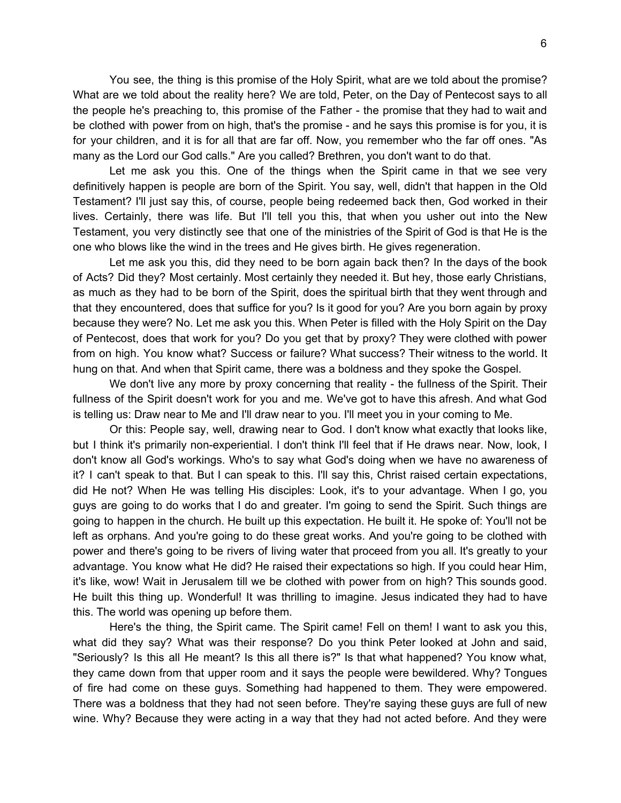You see, the thing is this promise of the Holy Spirit, what are we told about the promise? What are we told about the reality here? We are told, Peter, on the Day of Pentecost says to all the people he's preaching to, this promise of the Father - the promise that they had to wait and be clothed with power from on high, that's the promise - and he says this promise is for you, it is for your children, and it is for all that are far off. Now, you remember who the far off ones. "As many as the Lord our God calls." Are you called? Brethren, you don't want to do that.

Let me ask you this. One of the things when the Spirit came in that we see very definitively happen is people are born of the Spirit. You say, well, didn't that happen in the Old Testament? I'll just say this, of course, people being redeemed back then, God worked in their lives. Certainly, there was life. But I'll tell you this, that when you usher out into the New Testament, you very distinctly see that one of the ministries of the Spirit of God is that He is the one who blows like the wind in the trees and He gives birth. He gives regeneration.

Let me ask you this, did they need to be born again back then? In the days of the book of Acts? Did they? Most certainly. Most certainly they needed it. But hey, those early Christians, as much as they had to be born of the Spirit, does the spiritual birth that they went through and that they encountered, does that suffice for you? Is it good for you? Are you born again by proxy because they were? No. Let me ask you this. When Peter is filled with the Holy Spirit on the Day of Pentecost, does that work for you? Do you get that by proxy? They were clothed with power from on high. You know what? Success or failure? What success? Their witness to the world. It hung on that. And when that Spirit came, there was a boldness and they spoke the Gospel.

We don't live any more by proxy concerning that reality - the fullness of the Spirit. Their fullness of the Spirit doesn't work for you and me. We've got to have this afresh. And what God is telling us: Draw near to Me and I'll draw near to you. I'll meet you in your coming to Me.

Or this: People say, well, drawing near to God. I don't know what exactly that looks like, but I think it's primarily non-experiential. I don't think I'll feel that if He draws near. Now, look, I don't know all God's workings. Who's to say what God's doing when we have no awareness of it? I can't speak to that. But I can speak to this. I'll say this, Christ raised certain expectations, did He not? When He was telling His disciples: Look, it's to your advantage. When I go, you guys are going to do works that I do and greater. I'm going to send the Spirit. Such things are going to happen in the church. He built up this expectation. He built it. He spoke of: You'll not be left as orphans. And you're going to do these great works. And you're going to be clothed with power and there's going to be rivers of living water that proceed from you all. It's greatly to your advantage. You know what He did? He raised their expectations so high. If you could hear Him, it's like, wow! Wait in Jerusalem till we be clothed with power from on high? This sounds good. He built this thing up. Wonderful! It was thrilling to imagine. Jesus indicated they had to have this. The world was opening up before them.

Here's the thing, the Spirit came. The Spirit came! Fell on them! I want to ask you this, what did they say? What was their response? Do you think Peter looked at John and said, "Seriously? Is this all He meant? Is this all there is?" Is that what happened? You know what, they came down from that upper room and it says the people were bewildered. Why? Tongues of fire had come on these guys. Something had happened to them. They were empowered. There was a boldness that they had not seen before. They're saying these guys are full of new wine. Why? Because they were acting in a way that they had not acted before. And they were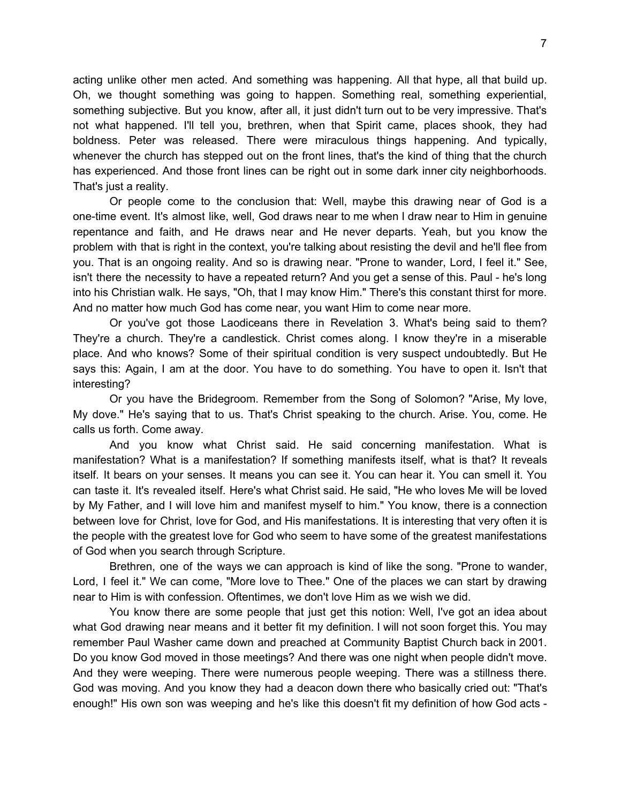acting unlike other men acted. And something was happening. All that hype, all that build up. Oh, we thought something was going to happen. Something real, something experiential, something subjective. But you know, after all, it just didn't turn out to be very impressive. That's not what happened. I'll tell you, brethren, when that Spirit came, places shook, they had boldness. Peter was released. There were miraculous things happening. And typically, whenever the church has stepped out on the front lines, that's the kind of thing that the church has experienced. And those front lines can be right out in some dark inner city neighborhoods. That's just a reality.

Or people come to the conclusion that: Well, maybe this drawing near of God is a one-time event. It's almost like, well, God draws near to me when I draw near to Him in genuine repentance and faith, and He draws near and He never departs. Yeah, but you know the problem with that is right in the context, you're talking about resisting the devil and he'll flee from you. That is an ongoing reality. And so is drawing near. "Prone to wander, Lord, I feel it." See, isn't there the necessity to have a repeated return? And you get a sense of this. Paul - he's long into his Christian walk. He says, "Oh, that I may know Him." There's this constant thirst for more. And no matter how much God has come near, you want Him to come near more.

Or you've got those Laodiceans there in Revelation 3. What's being said to them? They're a church. They're a candlestick. Christ comes along. I know they're in a miserable place. And who knows? Some of their spiritual condition is very suspect undoubtedly. But He says this: Again, I am at the door. You have to do something. You have to open it. Isn't that interesting?

Or you have the Bridegroom. Remember from the Song of Solomon? "Arise, My love, My dove." He's saying that to us. That's Christ speaking to the church. Arise. You, come. He calls us forth. Come away.

And you know what Christ said. He said concerning manifestation. What is manifestation? What is a manifestation? If something manifests itself, what is that? It reveals itself. It bears on your senses. It means you can see it. You can hear it. You can smell it. You can taste it. It's revealed itself. Here's what Christ said. He said, "He who loves Me will be loved by My Father, and I will love him and manifest myself to him." You know, there is a connection between love for Christ, love for God, and His manifestations. It is interesting that very often it is the people with the greatest love for God who seem to have some of the greatest manifestations of God when you search through Scripture.

Brethren, one of the ways we can approach is kind of like the song. "Prone to wander, Lord, I feel it." We can come, "More love to Thee." One of the places we can start by drawing near to Him is with confession. Oftentimes, we don't love Him as we wish we did.

You know there are some people that just get this notion: Well, I've got an idea about what God drawing near means and it better fit my definition. I will not soon forget this. You may remember Paul Washer came down and preached at Community Baptist Church back in 2001. Do you know God moved in those meetings? And there was one night when people didn't move. And they were weeping. There were numerous people weeping. There was a stillness there. God was moving. And you know they had a deacon down there who basically cried out: "That's enough!" His own son was weeping and he's like this doesn't fit my definition of how God acts -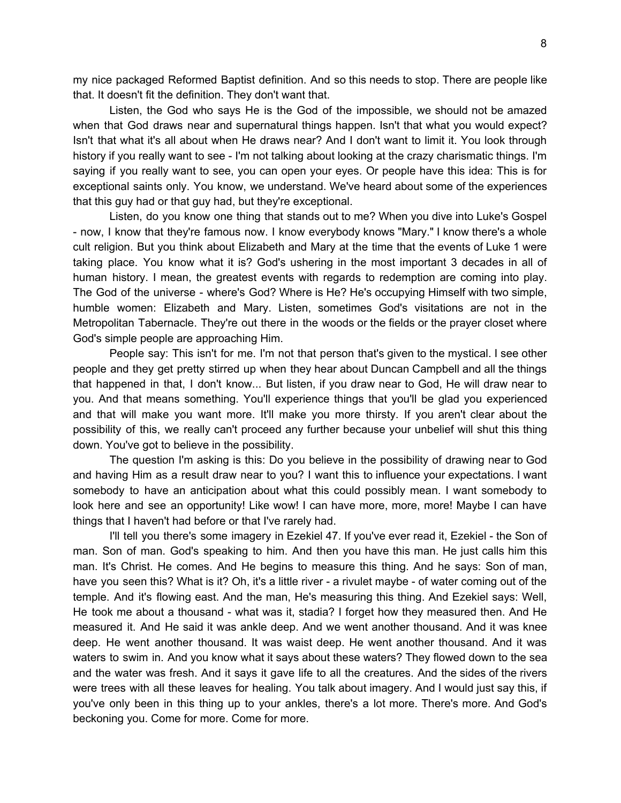my nice packaged Reformed Baptist definition. And so this needs to stop. There are people like that. It doesn't fit the definition. They don't want that.

Listen, the God who says He is the God of the impossible, we should not be amazed when that God draws near and supernatural things happen. Isn't that what you would expect? Isn't that what it's all about when He draws near? And I don't want to limit it. You look through history if you really want to see - I'm not talking about looking at the crazy charismatic things. I'm saying if you really want to see, you can open your eyes. Or people have this idea: This is for exceptional saints only. You know, we understand. We've heard about some of the experiences that this guy had or that guy had, but they're exceptional.

Listen, do you know one thing that stands out to me? When you dive into Luke's Gospel - now, I know that they're famous now. I know everybody knows "Mary." I know there's a whole cult religion. But you think about Elizabeth and Mary at the time that the events of Luke 1 were taking place. You know what it is? God's ushering in the most important 3 decades in all of human history. I mean, the greatest events with regards to redemption are coming into play. The God of the universe - where's God? Where is He? He's occupying Himself with two simple, humble women: Elizabeth and Mary. Listen, sometimes God's visitations are not in the Metropolitan Tabernacle. They're out there in the woods or the fields or the prayer closet where God's simple people are approaching Him.

People say: This isn't for me. I'm not that person that's given to the mystical. I see other people and they get pretty stirred up when they hear about Duncan Campbell and all the things that happened in that, I don't know... But listen, if you draw near to God, He will draw near to you. And that means something. You'll experience things that you'll be glad you experienced and that will make you want more. It'll make you more thirsty. If you aren't clear about the possibility of this, we really can't proceed any further because your unbelief will shut this thing down. You've got to believe in the possibility.

The question I'm asking is this: Do you believe in the possibility of drawing near to God and having Him as a result draw near to you? I want this to influence your expectations. I want somebody to have an anticipation about what this could possibly mean. I want somebody to look here and see an opportunity! Like wow! I can have more, more, more! Maybe I can have things that I haven't had before or that I've rarely had.

I'll tell you there's some imagery in Ezekiel 47. If you've ever read it, Ezekiel - the Son of man. Son of man. God's speaking to him. And then you have this man. He just calls him this man. It's Christ. He comes. And He begins to measure this thing. And he says: Son of man, have you seen this? What is it? Oh, it's a little river - a rivulet maybe - of water coming out of the temple. And it's flowing east. And the man, He's measuring this thing. And Ezekiel says: Well, He took me about a thousand - what was it, stadia? I forget how they measured then. And He measured it. And He said it was ankle deep. And we went another thousand. And it was knee deep. He went another thousand. It was waist deep. He went another thousand. And it was waters to swim in. And you know what it says about these waters? They flowed down to the sea and the water was fresh. And it says it gave life to all the creatures. And the sides of the rivers were trees with all these leaves for healing. You talk about imagery. And I would just say this, if you've only been in this thing up to your ankles, there's a lot more. There's more. And God's beckoning you. Come for more. Come for more.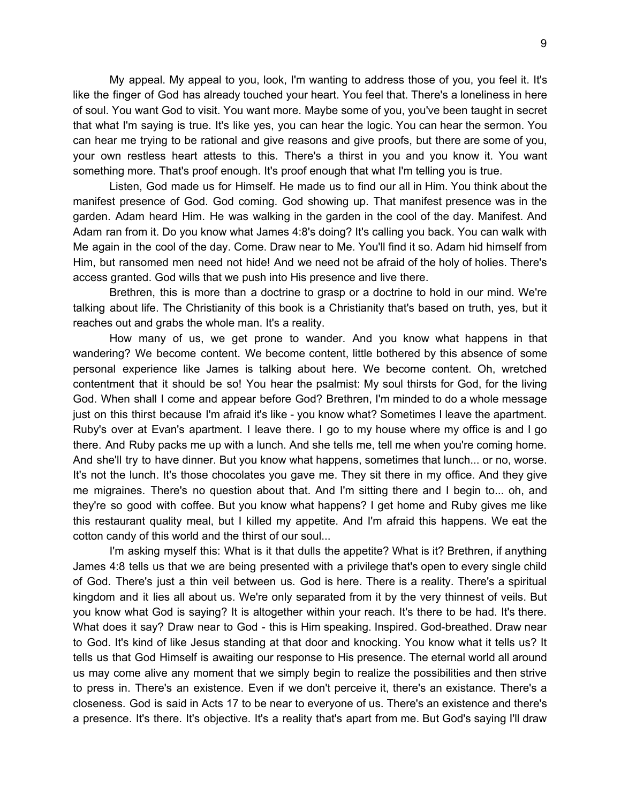My appeal. My appeal to you, look, I'm wanting to address those of you, you feel it. It's like the finger of God has already touched your heart. You feel that. There's a loneliness in here of soul. You want God to visit. You want more. Maybe some of you, you've been taught in secret that what I'm saying is true. It's like yes, you can hear the logic. You can hear the sermon. You can hear me trying to be rational and give reasons and give proofs, but there are some of you, your own restless heart attests to this. There's a thirst in you and you know it. You want something more. That's proof enough. It's proof enough that what I'm telling you is true.

Listen, God made us for Himself. He made us to find our all in Him. You think about the manifest presence of God. God coming. God showing up. That manifest presence was in the garden. Adam heard Him. He was walking in the garden in the cool of the day. Manifest. And Adam ran from it. Do you know what James 4:8's doing? It's calling you back. You can walk with Me again in the cool of the day. Come. Draw near to Me. You'll find it so. Adam hid himself from Him, but ransomed men need not hide! And we need not be afraid of the holy of holies. There's access granted. God wills that we push into His presence and live there.

Brethren, this is more than a doctrine to grasp or a doctrine to hold in our mind. We're talking about life. The Christianity of this book is a Christianity that's based on truth, yes, but it reaches out and grabs the whole man. It's a reality.

How many of us, we get prone to wander. And you know what happens in that wandering? We become content. We become content, little bothered by this absence of some personal experience like James is talking about here. We become content. Oh, wretched contentment that it should be so! You hear the psalmist: My soul thirsts for God, for the living God. When shall I come and appear before God? Brethren, I'm minded to do a whole message just on this thirst because I'm afraid it's like - you know what? Sometimes I leave the apartment. Ruby's over at Evan's apartment. I leave there. I go to my house where my office is and I go there. And Ruby packs me up with a lunch. And she tells me, tell me when you're coming home. And she'll try to have dinner. But you know what happens, sometimes that lunch... or no, worse. It's not the lunch. It's those chocolates you gave me. They sit there in my office. And they give me migraines. There's no question about that. And I'm sitting there and I begin to... oh, and they're so good with coffee. But you know what happens? I get home and Ruby gives me like this restaurant quality meal, but I killed my appetite. And I'm afraid this happens. We eat the cotton candy of this world and the thirst of our soul...

I'm asking myself this: What is it that dulls the appetite? What is it? Brethren, if anything James 4:8 tells us that we are being presented with a privilege that's open to every single child of God. There's just a thin veil between us. God is here. There is a reality. There's a spiritual kingdom and it lies all about us. We're only separated from it by the very thinnest of veils. But you know what God is saying? It is altogether within your reach. It's there to be had. It's there. What does it say? Draw near to God - this is Him speaking. Inspired. God-breathed. Draw near to God. It's kind of like Jesus standing at that door and knocking. You know what it tells us? It tells us that God Himself is awaiting our response to His presence. The eternal world all around us may come alive any moment that we simply begin to realize the possibilities and then strive to press in. There's an existence. Even if we don't perceive it, there's an existance. There's a closeness. God is said in Acts 17 to be near to everyone of us. There's an existence and there's a presence. It's there. It's objective. It's a reality that's apart from me. But God's saying I'll draw